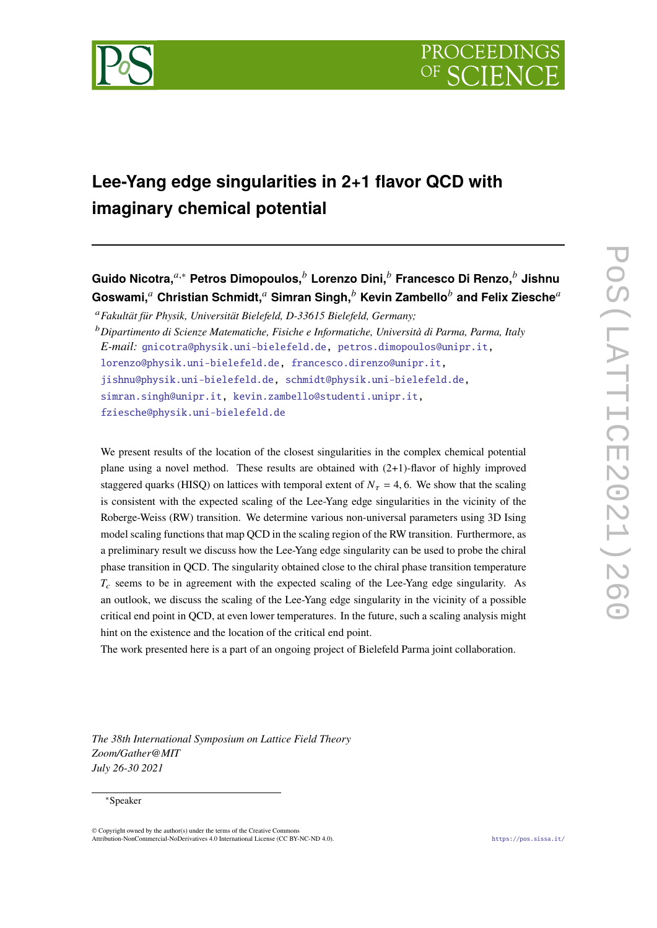

# **Lee-Yang edge singularities in 2+1 flavor QCD with imaginary chemical potential**

**Guido Nicotra,**𝑎,<sup>∗</sup> **Petros Dimopoulos,**<sup>𝑏</sup> **Lorenzo Dini,**<sup>𝑏</sup> **Francesco Di Renzo,**<sup>𝑏</sup> **Jishnu** Goswami,<sup>a</sup> Christian Schmidt,<sup>a</sup> Simran Singh,<sup>b</sup> Kevin Zambello<sup>b</sup> and Felix Ziesche<sup>a</sup>

<sup>𝑎</sup>*Fakultät für Physik, Universität Bielefeld, D-33615 Bielefeld, Germany;*

We present results of the location of the closest singularities in the complex chemical potential plane using a novel method. These results are obtained with (2+1)-flavor of highly improved staggered quarks (HISQ) on lattices with temporal extent of  $N_{\tau} = 4, 6$ . We show that the scaling is consistent with the expected scaling of the Lee-Yang edge singularities in the vicinity of the Roberge-Weiss (RW) transition. We determine various non-universal parameters using 3D Ising model scaling functions that map QCD in the scaling region of the RW transition. Furthermore, as a preliminary result we discuss how the Lee-Yang edge singularity can be used to probe the chiral phase transition in QCD. The singularity obtained close to the chiral phase transition temperature  $T_c$  seems to be in agreement with the expected scaling of the Lee-Yang edge singularity. As an outlook, we discuss the scaling of the Lee-Yang edge singularity in the vicinity of a possible critical end point in QCD, at even lower temperatures. In the future, such a scaling analysis might hint on the existence and the location of the critical end point.

The work presented here is a part of an ongoing project of Bielefeld Parma joint collaboration.

*The 38th International Symposium on Lattice Field Theory Zoom/Gather@MIT July 26-30 2021*

# <sup>∗</sup>Speaker

 $\odot$  Copyright owned by the author(s) under the terms of the Creative Common Attribution-NonCommercial-NoDerivatives 4.0 International License (CC BY-NC-ND 4.0). <https://pos.sissa.it/>

<sup>𝑏</sup>*Dipartimento di Scienze Matematiche, Fisiche e Informatiche, Università di Parma, Parma, Italy E-mail:* [gnicotra@physik.uni-bielefeld.de,](mailto:gnicotra@physik.uni-bielefeld.de) [petros.dimopoulos@unipr.it,](mailto:petros.dimopoulos@unipr.it) [lorenzo@physik.uni-bielefeld.de,](mailto:lorenzo@physik.uni-bielefeld.de) [francesco.direnzo@unipr.it,](mailto:francesco.direnzo@unipr.it) [jishnu@physik.uni-bielefeld.de,](mailto:jishnu@physik.uni-bielefeld.de) [schmidt@physik.uni-bielefeld.de,](mailto:schmidt@physik.uni-bielefeld.de) [simran.singh@unipr.it,](mailto:simran.singh@unipr.it) [kevin.zambello@studenti.unipr.it,](mailto:kevin.zambello@studenti.unipr.it) [fziesche@physik.uni-bielefeld.de](mailto:fziesche@physik.uni-bielefeld.de)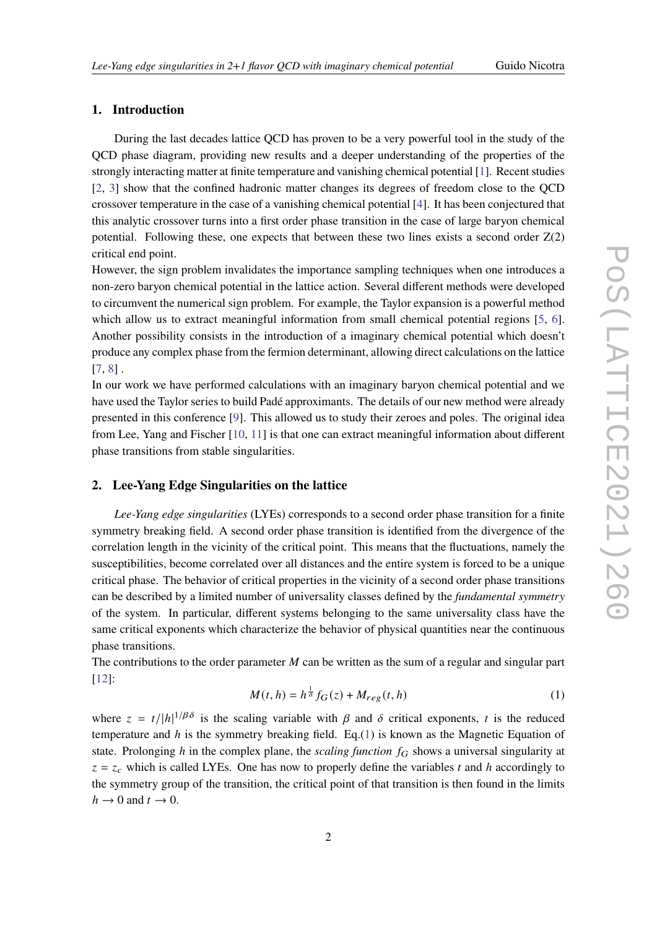# **1. Introduction**

During the last decades lattice QCD has proven to be a very powerful tool in the study of the QCD phase diagram, providing new results and a deeper understanding of the properties of the strongly interacting matter at finite temperature and vanishing chemical potential [\[1\]](#page-6-0). Recent studies [\[2,](#page-6-1) [3\]](#page-6-2) show that the confined hadronic matter changes its degrees of freedom close to the QCD crossover temperature in the case of a vanishing chemical potential [\[4\]](#page-7-0). It has been conjectured that this analytic crossover turns into a first order phase transition in the case of large baryon chemical potential. Following these, one expects that between these two lines exists a second order  $Z(2)$ critical end point.

However, the sign problem invalidates the importance sampling techniques when one introduces a non-zero baryon chemical potential in the lattice action. Several different methods were developed to circumvent the numerical sign problem. For example, the Taylor expansion is a powerful method which allow us to extract meaningful information from small chemical potential regions [\[5,](#page-7-1) [6\]](#page-7-2). Another possibility consists in the introduction of a imaginary chemical potential which doesn't produce any complex phase from the fermion determinant, allowing direct calculations on the lattice [\[7,](#page-7-3) [8\]](#page-7-4) .

In our work we have performed calculations with an imaginary baryon chemical potential and we have used the Taylor series to build Padé approximants. The details of our new method were already presented in this conference [\[9\]](#page-7-5). This allowed us to study their zeroes and poles. The original idea from Lee, Yang and Fischer [\[10,](#page-7-6) [11\]](#page-7-7) is that one can extract meaningful information about different phase transitions from stable singularities.

# **2. Lee-Yang Edge Singularities on the lattice**

*Lee-Yang edge singularities* (LYEs) corresponds to a second order phase transition for a finite symmetry breaking field. A second order phase transition is identified from the divergence of the correlation length in the vicinity of the critical point. This means that the fluctuations, namely the susceptibilities, become correlated over all distances and the entire system is forced to be a unique critical phase. The behavior of critical properties in the vicinity of a second order phase transitions can be described by a limited number of universality classes defined by the *fundamental symmetry* of the system. In particular, different systems belonging to the same universality class have the same critical exponents which characterize the behavior of physical quantities near the continuous phase transitions.

The contributions to the order parameter  $M$  can be written as the sum of a regular and singular part [\[12\]](#page-7-8):

<span id="page-1-0"></span>
$$
M(t, h) = h^{\frac{1}{\delta}} f_G(z) + M_{reg}(t, h)
$$
\n
$$
(1)
$$

where  $z = t/|h|^{1/\beta\delta}$  is the scaling variable with  $\beta$  and  $\delta$  critical exponents, t is the reduced temperature and  $h$  is the symmetry breaking field. Eq.[\(1\)](#page-1-0) is known as the Magnetic Equation of state. Prolonging h in the complex plane, the *scaling function*  $f_G$  shows a universal singularity at  $z = z_c$  which is called LYEs. One has now to properly define the variables t and h accordingly to the symmetry group of the transition, the critical point of that transition is then found in the limits  $h \to 0$  and  $t \to 0$ .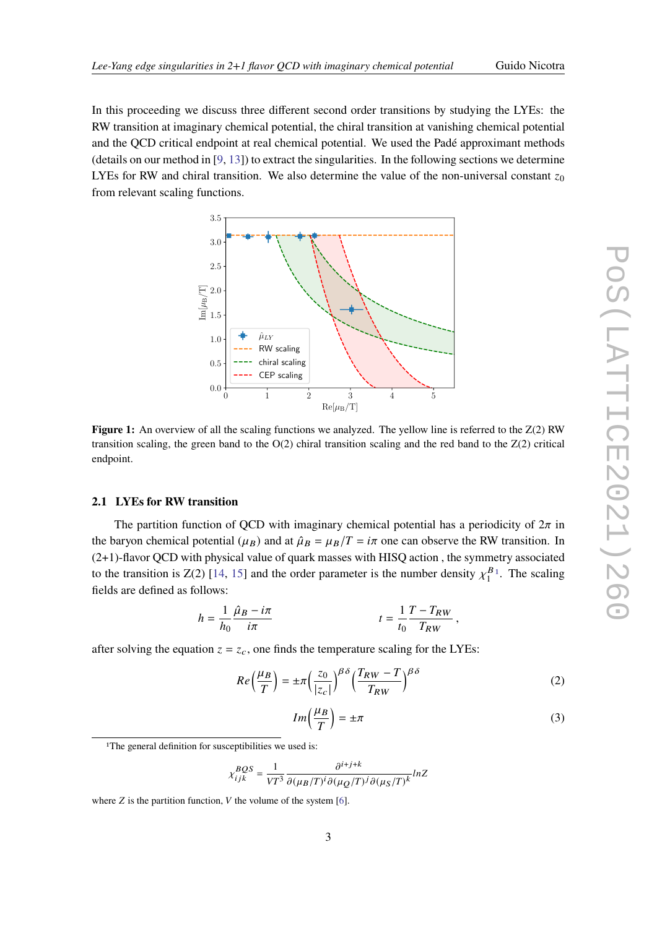In this proceeding we discuss three different second order transitions by studying the LYEs: the RW transition at imaginary chemical potential, the chiral transition at vanishing chemical potential and the QCD critical endpoint at real chemical potential. We used the Padé approximant methods (details on our method in [\[9,](#page-7-5) [13\]](#page-7-9)) to extract the singularities. In the following sections we determine LYEs for RW and chiral transition. We also determine the value of the non-universal constant  $z_0$ from relevant scaling functions.

<span id="page-2-3"></span>

**Figure 1:** An overview of all the scaling functions we analyzed. The yellow line is referred to the  $Z(2)$  RW transition scaling, the green band to the  $O(2)$  chiral transition scaling and the red band to the  $Z(2)$  critical endpoint.

# **2.1 LYEs for RW transition**

The partition function of QCD with imaginary chemical potential has a periodicity of  $2\pi$  in the baryon chemical potential ( $\mu_B$ ) and at  $\hat{\mu}_B = \mu_B/T = i\pi$  one can observe the RW transition. In (2+1)-flavor QCD with physical value of quark masses with HISQ action , the symmetry associated to the transition is Z(2) [\[14,](#page-7-10) [15\]](#page-7-11) and the order parameter is the number density  $\chi_1^B$  $\frac{B_1}{1}$  $\frac{B_1}{1}$  $\frac{B_1}{1}$ . The scaling fields are defined as follows:

$$
h=\frac{1}{h_0}\frac{\hat{\mu}_B-i\pi}{i\pi} \hspace{2cm} t=\frac{1}{t_0}\frac{T-T_{RW}}{T_{RW}}\,,
$$

after solving the equation  $z = z_c$ , one finds the temperature scaling for the LYEs:

<span id="page-2-1"></span>
$$
Re\left(\frac{\mu_B}{T}\right) = \pm \pi \left(\frac{z_0}{|z_c|}\right)^{\beta \delta} \left(\frac{T_{RW} - T}{T_{RW}}\right)^{\beta \delta} \tag{2}
$$

<span id="page-2-2"></span>
$$
Im\left(\frac{\mu_B}{T}\right) = \pm \pi \tag{3}
$$

$$
\chi_{ijk}^{BQS}=\frac{1}{VT^3}\frac{\partial^{i+j+k}}{\partial(\mu_B/T)^i\partial(\mu_Q/T)^j\partial(\mu_S/T)^k}lnZ
$$

<span id="page-2-0"></span><sup>&</sup>lt;sup>1</sup>The general definition for susceptibilities we used is:

where  $Z$  is the partition function,  $V$  the volume of the system [\[6\]](#page-7-2).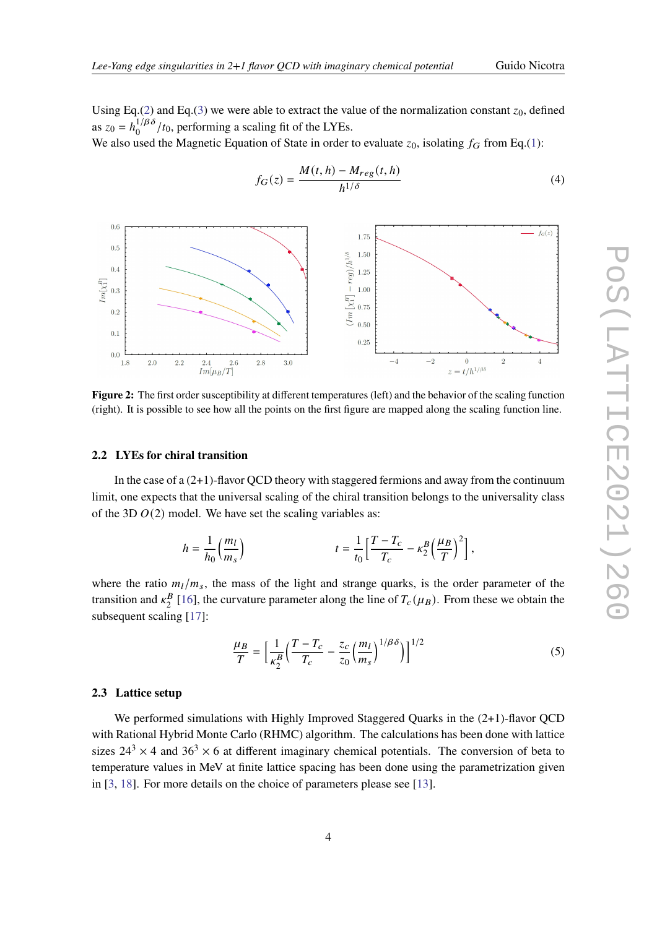Using Eq.[\(2\)](#page-2-1) and Eq.[\(3\)](#page-2-2) we were able to extract the value of the normalization constant  $z_0$ , defined as  $z_0 = h_0^{1/\beta \delta}$  $\frac{1}{\beta}$  / $t_0$ , performing a scaling fit of the LYEs.

We also used the Magnetic Equation of State in order to evaluate  $z_0$ , isolating  $f_G$  from Eq.[\(1\)](#page-1-0):

<span id="page-3-0"></span>
$$
f_G(z) = \frac{M(t, h) - M_{reg}(t, h)}{h^{1/\delta}}\tag{4}
$$



**Figure 2:** The first order susceptibility at different temperatures (left) and the behavior of the scaling function (right). It is possible to see how all the points on the first figure are mapped along the scaling function line.

### **2.2 LYEs for chiral transition**

In the case of a  $(2+1)$ -flavor QCD theory with staggered fermions and away from the continuum limit, one expects that the universal scaling of the chiral transition belongs to the universality class of the 3D  $O(2)$  model. We have set the scaling variables as:

$$
h=\frac{1}{h_0}\Big(\frac{m_l}{m_s}\Big)\hspace{2cm} t=\frac{1}{t_0}\Big[\frac{T-T_c}{T_c}-\kappa_2^B\Big(\frac{\mu_B}{T}\Big)^2\Big]\,,
$$

where the ratio  $m_l/m_s$ , the mass of the light and strange quarks, is the order parameter of the transition and  $\kappa_2^B$  $^{B}_{2}$  [\[16\]](#page-7-12), the curvature parameter along the line of  $T_c(\mu_B)$ . From these we obtain the subsequent scaling [\[17\]](#page-7-13):

$$
\frac{\mu}{T} = \left[ \frac{1}{\kappa_2^B} \left( \frac{T - T_c}{T_c} - \frac{z_c}{z_0} \left( \frac{m_l}{m_s} \right)^{1/\beta \delta} \right) \right]^{1/2} \tag{5}
$$

# **2.3 Lattice setup**

We performed simulations with Highly Improved Staggered Quarks in the  $(2+1)$ -flavor QCD with Rational Hybrid Monte Carlo (RHMC) algorithm. The calculations has been done with lattice sizes  $24^3 \times 4$  and  $36^3 \times 6$  at different imaginary chemical potentials. The conversion of beta to temperature values in MeV at finite lattice spacing has been done using the parametrization given in [\[3,](#page-6-2) [18\]](#page-7-14). For more details on the choice of parameters please see [\[13\]](#page-7-9).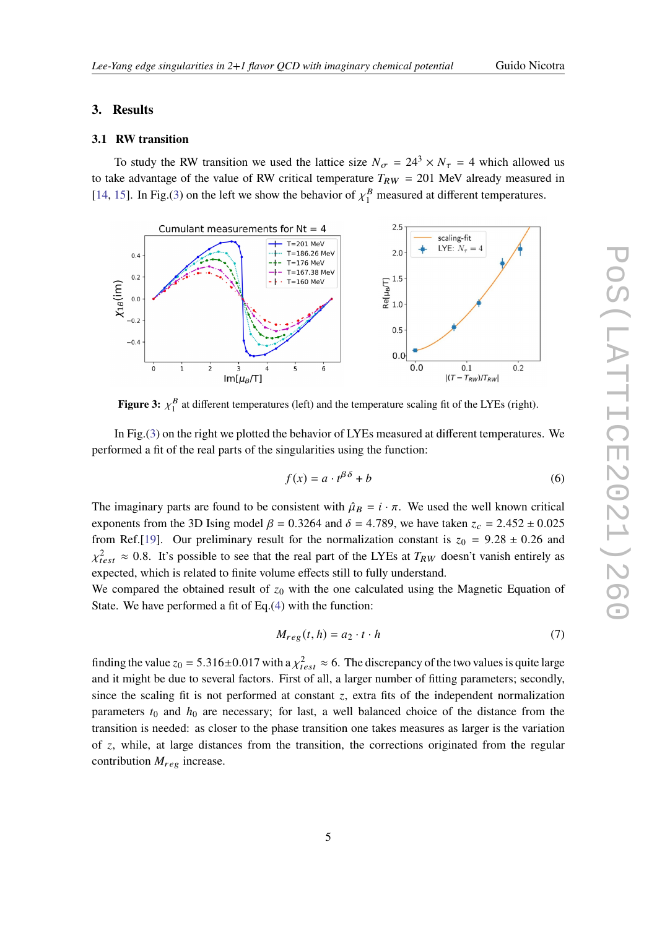# **3. Results**

### **3.1 RW transition**

To study the RW transition we used the lattice size  $N_{\sigma} = 24^3 \times N_{\tau} = 4$  which allowed us to take advantage of the value of RW critical temperature  $T_{RW} = 201$  MeV already measured in [\[14,](#page-7-10) [15\]](#page-7-11). In Fig.[\(3\)](#page-4-0) on the left we show the behavior of  $\chi_1^B$  measured at different temperatures.

<span id="page-4-0"></span>

**Figure 3:**  $\chi_1^B$  $_1^B$  at different temperatures (left) and the temperature scaling fit of the LYEs (right).

In Fig.[\(3\)](#page-4-0) on the right we plotted the behavior of LYEs measured at different temperatures. We performed a fit of the real parts of the singularities using the function:

$$
f(x) = a \cdot t^{\beta \delta} + b \tag{6}
$$

The imaginary parts are found to be consistent with  $\hat{\mu}_B = i \cdot \pi$ . We used the well known critical exponents from the 3D Ising model  $\beta = 0.3264$  and  $\delta = 4.789$ , we have taken  $z_c = 2.452 \pm 0.025$ from Ref.[\[19\]](#page-7-15). Our preliminary result for the normalization constant is  $z_0 = 9.28 \pm 0.26$  and  $\chi^2_{test} \approx 0.8$ . It's possible to see that the real part of the LYEs at  $T_{RW}$  doesn't vanish entirely as expected, which is related to finite volume effects still to fully understand.

We compared the obtained result of  $z_0$  with the one calculated using the Magnetic Equation of State. We have performed a fit of Eq.[\(4\)](#page-3-0) with the function:

$$
M_{reg}(t, h) = a_2 \cdot t \cdot h \tag{7}
$$

finding the value  $z_0 = 5.316 \pm 0.017$  with a  $\chi^2_{test} \approx 6$ . The discrepancy of the two values is quite large and it might be due to several factors. First of all, a larger number of fitting parameters; secondly, since the scaling fit is not performed at constant  $z$ , extra fits of the independent normalization parameters  $t_0$  and  $h_0$  are necessary; for last, a well balanced choice of the distance from the transition is needed: as closer to the phase transition one takes measures as larger is the variation of  $z$ , while, at large distances from the transition, the corrections originated from the regular contribution  $M_{reg}$  increase.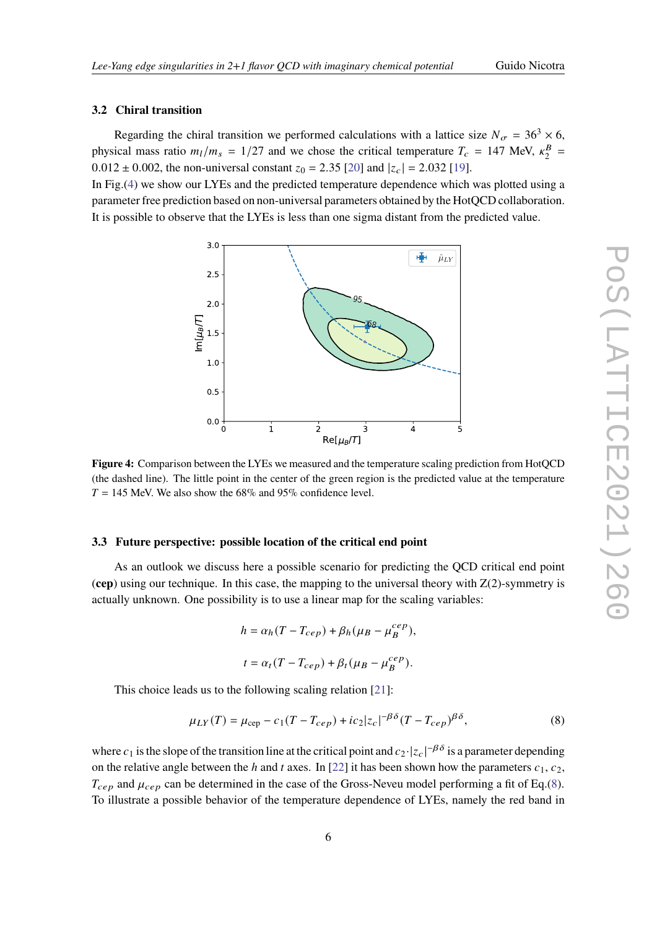# **3.2 Chiral transition**

Regarding the chiral transition we performed calculations with a lattice size  $N_{\sigma} = 36^3 \times 6$ , physical mass ratio  $m_l/m_s = 1/27$  and we chose the critical temperature  $T_c = 147$  MeV,  $\kappa_2^B$  $\frac{B}{2}$  =  $0.012 \pm 0.002$ , the non-universal constant  $z_0 = 2.35$  [\[20\]](#page-7-16) and  $|z_c| = 2.032$  [\[19\]](#page-7-15).

<span id="page-5-0"></span>In Fig.[\(4\)](#page-5-0) we show our LYEs and the predicted temperature dependence which was plotted using a parameter free prediction based on non-universal parameters obtained by the HotQCD collaboration. It is possible to observe that the LYEs is less than one sigma distant from the predicted value.



**Figure 4:** Comparison between the LYEs we measured and the temperature scaling prediction from HotQCD (the dashed line). The little point in the center of the green region is the predicted value at the temperature  $T = 145$  MeV. We also show the 68% and 95% confidence level.

### **3.3 Future perspective: possible location of the critical end point**

As an outlook we discuss here a possible scenario for predicting the QCD critical end point  $(cep)$  using our technique. In this case, the mapping to the universal theory with  $Z(2)$ -symmetry is actually unknown. One possibility is to use a linear map for the scaling variables:

$$
h = \alpha_h (T - T_{cep}) + \beta_h (\mu_B - \mu_B^{cep}),
$$
  

$$
t = \alpha_t (T - T_{cep}) + \beta_t (\mu_B - \mu_B^{cep}).
$$

This choice leads us to the following scaling relation [\[21\]](#page-7-17):

<span id="page-5-1"></span>
$$
\mu_{LY}(T) = \mu_{\rm cep} - c_1(T - T_{cep}) + ic_2|z_c|^{-\beta\delta}(T - T_{cep})^{\beta\delta},\tag{8}
$$

where  $c_1$  is the slope of the transition line at the critical point and  $c_2$ · $|z_c|^{-\beta\delta}$  is a parameter depending on the relative angle between the h and t axes. In [\[22\]](#page-7-18) it has been shown how the parameters  $c_1, c_2$ ,  $T_{cep}$  and  $\mu_{cep}$  can be determined in the case of the Gross-Neveu model performing a fit of Eq.[\(8\)](#page-5-1). To illustrate a possible behavior of the temperature dependence of LYEs, namely the red band in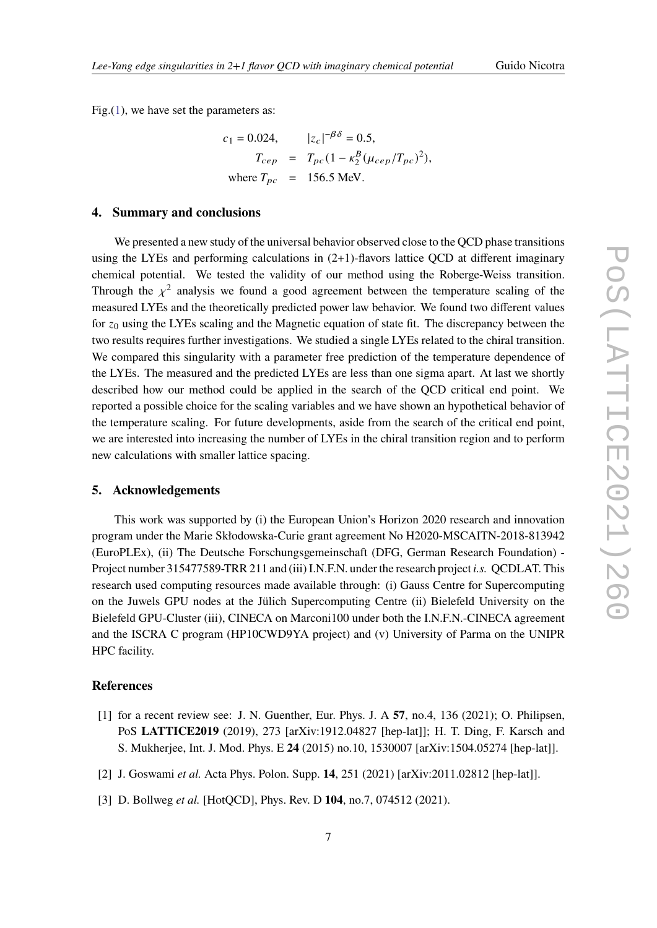Fig.[\(1\)](#page-2-3), we have set the parameters as:

$$
c_1 = 0.024, \t |z_c|^{-\beta \delta} = 0.5,
$$
  
\n
$$
T_{cep} = T_{pc} (1 - \kappa_2^B (\mu_{cep} / T_{pc})^2),
$$
  
\nwhere  $T_{pc} = 156.5 \text{ MeV}.$ 

### **4. Summary and conclusions**

We presented a new study of the universal behavior observed close to the QCD phase transitions using the LYEs and performing calculations in  $(2+1)$ -flavors lattice QCD at different imaginary chemical potential. We tested the validity of our method using the Roberge-Weiss transition. Through the  $\chi^2$  analysis we found a good agreement between the temperature scaling of the measured LYEs and the theoretically predicted power law behavior. We found two different values for  $z_0$  using the LYEs scaling and the Magnetic equation of state fit. The discrepancy between the two results requires further investigations. We studied a single LYEs related to the chiral transition. We compared this singularity with a parameter free prediction of the temperature dependence of the LYEs. The measured and the predicted LYEs are less than one sigma apart. At last we shortly described how our method could be applied in the search of the QCD critical end point. We reported a possible choice for the scaling variables and we have shown an hypothetical behavior of the temperature scaling. For future developments, aside from the search of the critical end point, we are interested into increasing the number of LYEs in the chiral transition region and to perform new calculations with smaller lattice spacing.

# **5. Acknowledgements**

This work was supported by (i) the European Union's Horizon 2020 research and innovation program under the Marie Skłodowska-Curie grant agreement No H2020-MSCAITN-2018-813942 (EuroPLEx), (ii) The Deutsche Forschungsgemeinschaft (DFG, German Research Foundation) - Project number 315477589-TRR 211 and (iii) I.N.F.N. under the research project *i.s.* QCDLAT. This research used computing resources made available through: (i) Gauss Centre for Supercomputing on the Juwels GPU nodes at the Jülich Supercomputing Centre (ii) Bielefeld University on the Bielefeld GPU-Cluster (iii), CINECA on Marconi100 under both the I.N.F.N.-CINECA agreement and the ISCRA C program (HP10CWD9YA project) and (v) University of Parma on the UNIPR HPC facility.

## **References**

- <span id="page-6-0"></span>[1] for a recent review see: J. N. Guenther, Eur. Phys. J. A **57**, no.4, 136 (2021); O. Philipsen, PoS **LATTICE2019** (2019), 273 [arXiv:1912.04827 [hep-lat]]; H. T. Ding, F. Karsch and S. Mukherjee, Int. J. Mod. Phys. E **24** (2015) no.10, 1530007 [arXiv:1504.05274 [hep-lat]].
- <span id="page-6-1"></span>[2] J. Goswami *et al.* Acta Phys. Polon. Supp. **14**, 251 (2021) [arXiv:2011.02812 [hep-lat]].
- <span id="page-6-2"></span>[3] D. Bollweg *et al.* [HotQCD], Phys. Rev. D **104**, no.7, 074512 (2021).